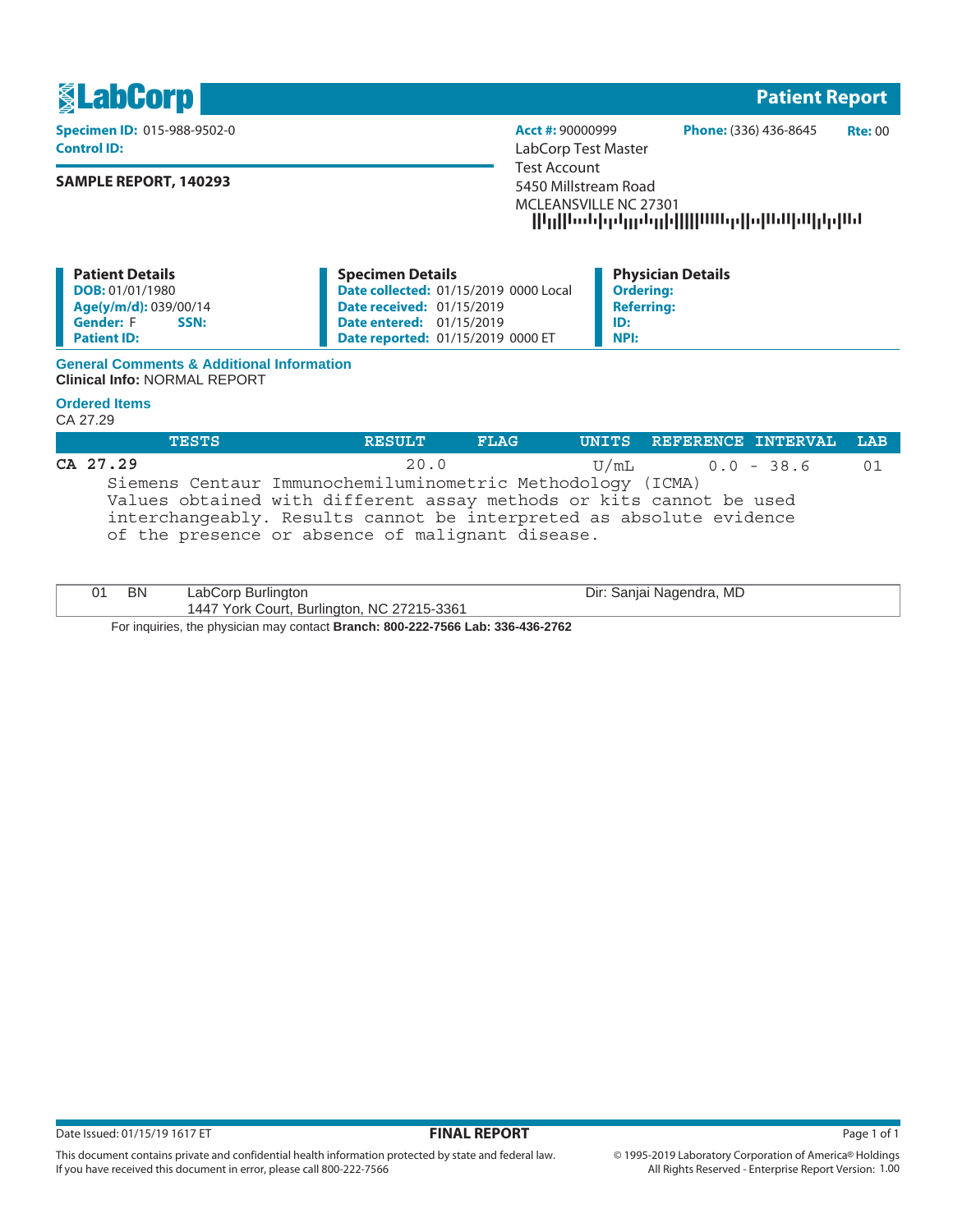

**Control ID:** LabCorp Test Master

## **SAMPLE REPORT, 140293**

**Specimen ID:** 015-988-9502-0 **Acct #:** 90000999 **Phone:** (336) 436-8645 **Rte:** 00 Test Account 5450 Millstream Road MCLEANSVILLE NC 27301 --------------------

| <b>Patient Details</b>   | <b>Specimen Details</b>                      | <b>Physician Details</b> |
|--------------------------|----------------------------------------------|--------------------------|
| <b>DOB:</b> 01/01/1980   | <b>Date collected: 01/15/2019 0000 Local</b> | <b>Ordering:</b>         |
| Age(y/m/d): 039/00/14    | <b>Date received: 01/15/2019</b>             | <b>Referring:</b>        |
| <b>Gender: F</b><br>SSN: | <b>Date entered: 01/15/2019</b>              | ID:                      |
| <b>Patient ID:</b>       | <b>Date reported: 01/15/2019 0000 ET</b>     | NPI:                     |

#### **General Comments & Additional Information Clinical Info:** NORMAL REPORT

# **Ordered Items**

CA 27.29

| <b>TESTS</b>                                                                                                                                                                                                                                                 | RESULT | FLAG | <u>'UNITS REFERENCE INTERVAL LAB,</u> |    |
|--------------------------------------------------------------------------------------------------------------------------------------------------------------------------------------------------------------------------------------------------------------|--------|------|---------------------------------------|----|
| CA 27.29                                                                                                                                                                                                                                                     | 20.0   |      | U/mL 0.0 - 38.6                       | 01 |
| Siemens Centaur Immunochemiluminometric Methodology (ICMA)<br>Values obtained with different assay methods or kits cannot be used<br>interchangeably. Results cannot be interpreted as absolute evidence<br>of the presence or absence of malignant disease. |        |      |                                       |    |

| <b>BN</b>                                                                       | LabCorp Burlington                         | Dir: Sanjai Nagendra, MD |  |  |
|---------------------------------------------------------------------------------|--------------------------------------------|--------------------------|--|--|
|                                                                                 | 1447 York Court, Burlington, NC 27215-3361 |                          |  |  |
| For inquiries, the physician may contact Branch: 800-222-7566 Lab: 336-436-2762 |                                            |                          |  |  |

This document contains private and confidential health information protected by state and federal law.

If you have received this document in error, please call 800-222-7566